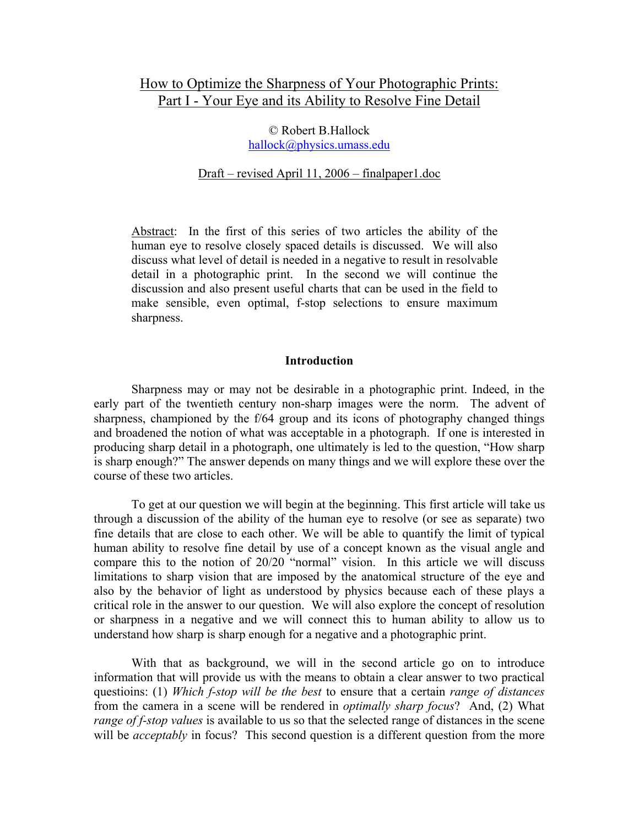# How to Optimize the Sharpness of Your Photographic Prints: Part I - Your Eye and its Ability to Resolve Fine Detail

© Robert B.Hallock hallock@physics.umass.edu

Draft – revised April 11, 2006 – finalpaper1.doc

Abstract: In the first of this series of two articles the ability of the human eye to resolve closely spaced details is discussed. We will also discuss what level of detail is needed in a negative to result in resolvable detail in a photographic print. In the second we will continue the discussion and also present useful charts that can be used in the field to make sensible, even optimal, f-stop selections to ensure maximum sharpness.

## **Introduction**

 Sharpness may or may not be desirable in a photographic print. Indeed, in the early part of the twentieth century non-sharp images were the norm. The advent of sharpness, championed by the f/64 group and its icons of photography changed things and broadened the notion of what was acceptable in a photograph. If one is interested in producing sharp detail in a photograph, one ultimately is led to the question, "How sharp is sharp enough?" The answer depends on many things and we will explore these over the course of these two articles.

 To get at our question we will begin at the beginning. This first article will take us through a discussion of the ability of the human eye to resolve (or see as separate) two fine details that are close to each other. We will be able to quantify the limit of typical human ability to resolve fine detail by use of a concept known as the visual angle and compare this to the notion of 20/20 "normal" vision. In this article we will discuss limitations to sharp vision that are imposed by the anatomical structure of the eye and also by the behavior of light as understood by physics because each of these plays a critical role in the answer to our question. We will also explore the concept of resolution or sharpness in a negative and we will connect this to human ability to allow us to understand how sharp is sharp enough for a negative and a photographic print.

 With that as background, we will in the second article go on to introduce information that will provide us with the means to obtain a clear answer to two practical questioins: (1) *Which f-stop will be the best* to ensure that a certain *range of distances* from the camera in a scene will be rendered in *optimally sharp focus*? And, (2) What *range of f-stop values* is available to us so that the selected range of distances in the scene will be *acceptably* in focus? This second question is a different question from the more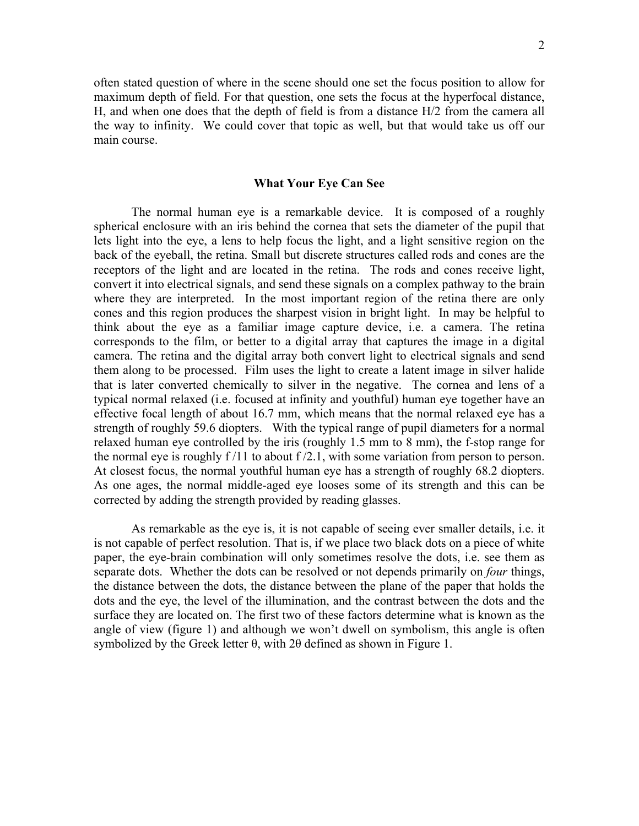often stated question of where in the scene should one set the focus position to allow for maximum depth of field. For that question, one sets the focus at the hyperfocal distance, H, and when one does that the depth of field is from a distance H/2 from the camera all the way to infinity. We could cover that topic as well, but that would take us off our main course.

## **What Your Eye Can See**

 The normal human eye is a remarkable device. It is composed of a roughly spherical enclosure with an iris behind the cornea that sets the diameter of the pupil that lets light into the eye, a lens to help focus the light, and a light sensitive region on the back of the eyeball, the retina. Small but discrete structures called rods and cones are the receptors of the light and are located in the retina. The rods and cones receive light, convert it into electrical signals, and send these signals on a complex pathway to the brain where they are interpreted. In the most important region of the retina there are only cones and this region produces the sharpest vision in bright light. In may be helpful to think about the eye as a familiar image capture device, i.e. a camera. The retina corresponds to the film, or better to a digital array that captures the image in a digital camera. The retina and the digital array both convert light to electrical signals and send them along to be processed. Film uses the light to create a latent image in silver halide that is later converted chemically to silver in the negative. The cornea and lens of a typical normal relaxed (i.e. focused at infinity and youthful) human eye together have an effective focal length of about 16.7 mm, which means that the normal relaxed eye has a strength of roughly 59.6 diopters. With the typical range of pupil diameters for a normal relaxed human eye controlled by the iris (roughly 1.5 mm to 8 mm), the f-stop range for the normal eye is roughly  $f/11$  to about  $f/2.1$ , with some variation from person to person. At closest focus, the normal youthful human eye has a strength of roughly 68.2 diopters. As one ages, the normal middle-aged eye looses some of its strength and this can be corrected by adding the strength provided by reading glasses.

 As remarkable as the eye is, it is not capable of seeing ever smaller details, i.e. it is not capable of perfect resolution. That is, if we place two black dots on a piece of white paper, the eye-brain combination will only sometimes resolve the dots, i.e. see them as separate dots. Whether the dots can be resolved or not depends primarily on *four* things, the distance between the dots, the distance between the plane of the paper that holds the dots and the eye, the level of the illumination, and the contrast between the dots and the surface they are located on. The first two of these factors determine what is known as the angle of view (figure 1) and although we won't dwell on symbolism, this angle is often symbolized by the Greek letter θ, with 2θ defined as shown in Figure 1.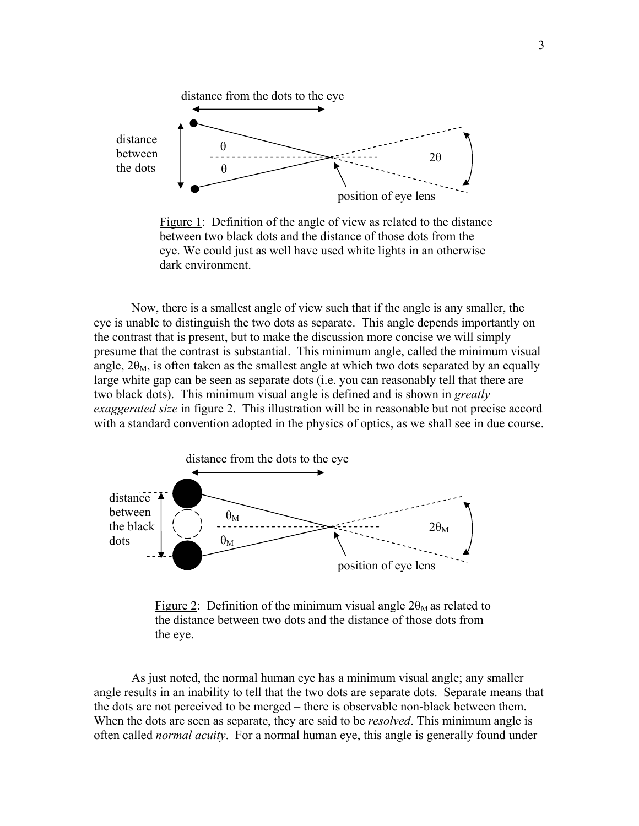

 Figure 1: Definition of the angle of view as related to the distance between two black dots and the distance of those dots from the eye. We could just as well have used white lights in an otherwise dark environment.

 Now, there is a smallest angle of view such that if the angle is any smaller, the eye is unable to distinguish the two dots as separate. This angle depends importantly on the contrast that is present, but to make the discussion more concise we will simply presume that the contrast is substantial. This minimum angle, called the minimum visual angle,  $2\theta_M$ , is often taken as the smallest angle at which two dots separated by an equally large white gap can be seen as separate dots (i.e. you can reasonably tell that there are two black dots). This minimum visual angle is defined and is shown in *greatly exaggerated size* in figure 2. This illustration will be in reasonable but not precise accord with a standard convention adopted in the physics of optics, as we shall see in due course.



Figure 2: Definition of the minimum visual angle  $2\theta_M$  as related to the distance between two dots and the distance of those dots from the eye.

 As just noted, the normal human eye has a minimum visual angle; any smaller angle results in an inability to tell that the two dots are separate dots. Separate means that the dots are not perceived to be merged – there is observable non-black between them. When the dots are seen as separate, they are said to be *resolved*. This minimum angle is often called *normal acuity*. For a normal human eye, this angle is generally found under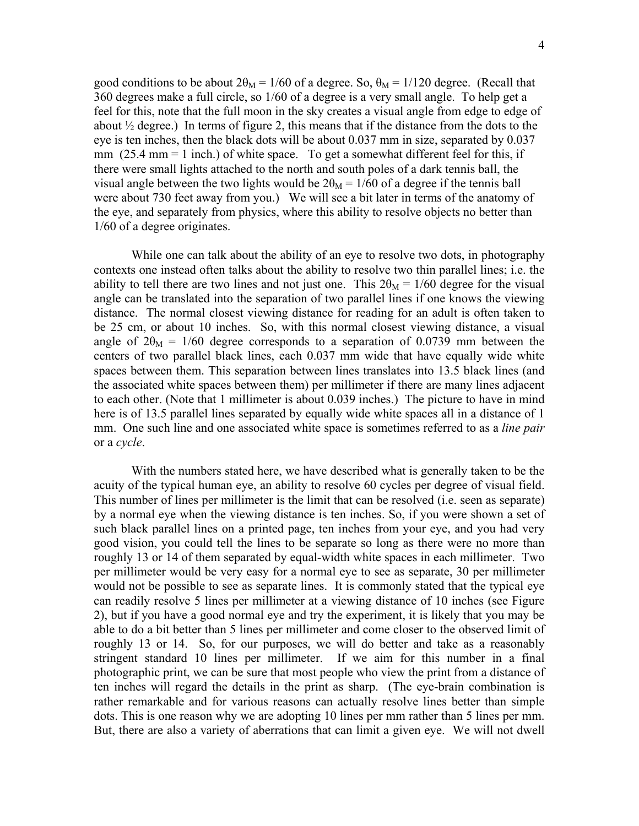good conditions to be about  $2\theta_M = 1/60$  of a degree. So,  $\theta_M = 1/120$  degree. (Recall that 360 degrees make a full circle, so 1/60 of a degree is a very small angle. To help get a feel for this, note that the full moon in the sky creates a visual angle from edge to edge of about  $\frac{1}{2}$  degree.) In terms of figure 2, this means that if the distance from the dots to the eye is ten inches, then the black dots will be about 0.037 mm in size, separated by 0.037 mm  $(25.4 \text{ mm} = 1 \text{ inch.})$  of white space. To get a somewhat different feel for this, if there were small lights attached to the north and south poles of a dark tennis ball, the visual angle between the two lights would be  $2\theta_M = 1/60$  of a degree if the tennis ball were about 730 feet away from you.) We will see a bit later in terms of the anatomy of the eye, and separately from physics, where this ability to resolve objects no better than 1/60 of a degree originates.

While one can talk about the ability of an eye to resolve two dots, in photography contexts one instead often talks about the ability to resolve two thin parallel lines; i.e. the ability to tell there are two lines and not just one. This  $2\theta_M = 1/60$  degree for the visual angle can be translated into the separation of two parallel lines if one knows the viewing distance. The normal closest viewing distance for reading for an adult is often taken to be 25 cm, or about 10 inches. So, with this normal closest viewing distance, a visual angle of  $2\theta_M = 1/60$  degree corresponds to a separation of 0.0739 mm between the centers of two parallel black lines, each 0.037 mm wide that have equally wide white spaces between them. This separation between lines translates into 13.5 black lines (and the associated white spaces between them) per millimeter if there are many lines adjacent to each other. (Note that 1 millimeter is about 0.039 inches.) The picture to have in mind here is of 13.5 parallel lines separated by equally wide white spaces all in a distance of 1 mm. One such line and one associated white space is sometimes referred to as a *line pair* or a *cycle*.

 With the numbers stated here, we have described what is generally taken to be the acuity of the typical human eye, an ability to resolve 60 cycles per degree of visual field. This number of lines per millimeter is the limit that can be resolved (i.e. seen as separate) by a normal eye when the viewing distance is ten inches. So, if you were shown a set of such black parallel lines on a printed page, ten inches from your eye, and you had very good vision, you could tell the lines to be separate so long as there were no more than roughly 13 or 14 of them separated by equal-width white spaces in each millimeter. Two per millimeter would be very easy for a normal eye to see as separate, 30 per millimeter would not be possible to see as separate lines. It is commonly stated that the typical eye can readily resolve 5 lines per millimeter at a viewing distance of 10 inches (see Figure 2), but if you have a good normal eye and try the experiment, it is likely that you may be able to do a bit better than 5 lines per millimeter and come closer to the observed limit of roughly 13 or 14. So, for our purposes, we will do better and take as a reasonably stringent standard 10 lines per millimeter. If we aim for this number in a final photographic print, we can be sure that most people who view the print from a distance of ten inches will regard the details in the print as sharp. (The eye-brain combination is rather remarkable and for various reasons can actually resolve lines better than simple dots. This is one reason why we are adopting 10 lines per mm rather than 5 lines per mm. But, there are also a variety of aberrations that can limit a given eye. We will not dwell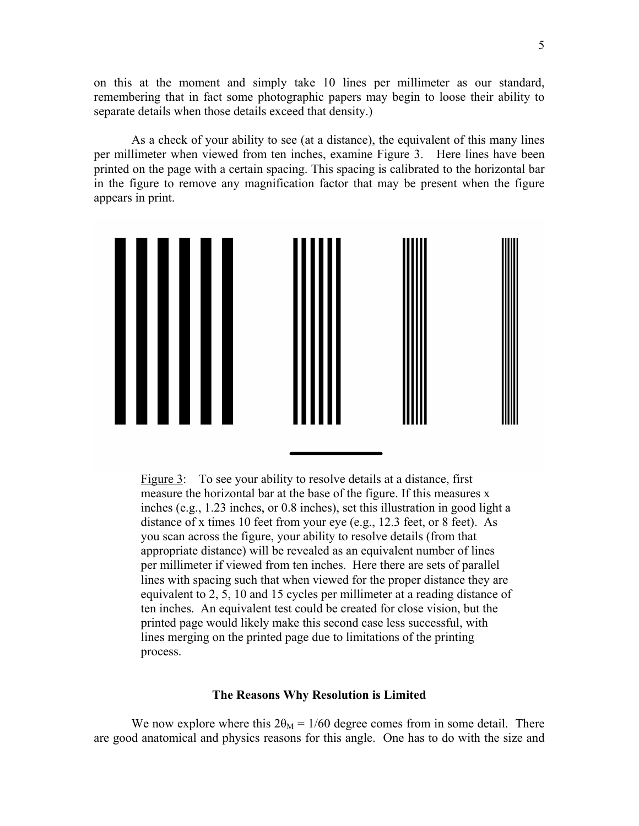on this at the moment and simply take 10 lines per millimeter as our standard, remembering that in fact some photographic papers may begin to loose their ability to separate details when those details exceed that density.)

 As a check of your ability to see (at a distance), the equivalent of this many lines per millimeter when viewed from ten inches, examine Figure 3. Here lines have been printed on the page with a certain spacing. This spacing is calibrated to the horizontal bar in the figure to remove any magnification factor that may be present when the figure appears in print.



Figure 3: To see your ability to resolve details at a distance, first measure the horizontal bar at the base of the figure. If this measures x inches (e.g., 1.23 inches, or 0.8 inches), set this illustration in good light a distance of x times 10 feet from your eye (e.g., 12.3 feet, or 8 feet). As you scan across the figure, your ability to resolve details (from that appropriate distance) will be revealed as an equivalent number of lines per millimeter if viewed from ten inches. Here there are sets of parallel lines with spacing such that when viewed for the proper distance they are equivalent to 2, 5, 10 and 15 cycles per millimeter at a reading distance of ten inches. An equivalent test could be created for close vision, but the printed page would likely make this second case less successful, with lines merging on the printed page due to limitations of the printing process.

### **The Reasons Why Resolution is Limited**

We now explore where this  $2\theta_M = 1/60$  degree comes from in some detail. There are good anatomical and physics reasons for this angle. One has to do with the size and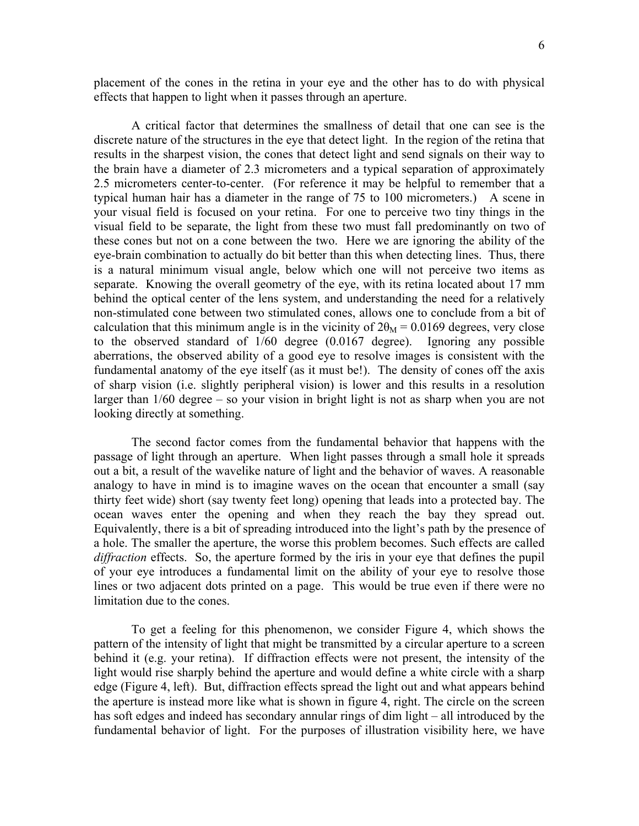placement of the cones in the retina in your eye and the other has to do with physical effects that happen to light when it passes through an aperture.

 A critical factor that determines the smallness of detail that one can see is the discrete nature of the structures in the eye that detect light. In the region of the retina that results in the sharpest vision, the cones that detect light and send signals on their way to the brain have a diameter of 2.3 micrometers and a typical separation of approximately 2.5 micrometers center-to-center. (For reference it may be helpful to remember that a typical human hair has a diameter in the range of 75 to 100 micrometers.) A scene in your visual field is focused on your retina. For one to perceive two tiny things in the visual field to be separate, the light from these two must fall predominantly on two of these cones but not on a cone between the two. Here we are ignoring the ability of the eye-brain combination to actually do bit better than this when detecting lines. Thus, there is a natural minimum visual angle, below which one will not perceive two items as separate. Knowing the overall geometry of the eye, with its retina located about 17 mm behind the optical center of the lens system, and understanding the need for a relatively non-stimulated cone between two stimulated cones, allows one to conclude from a bit of calculation that this minimum angle is in the vicinity of  $2\theta_M = 0.0169$  degrees, very close to the observed standard of 1/60 degree (0.0167 degree). Ignoring any possible aberrations, the observed ability of a good eye to resolve images is consistent with the fundamental anatomy of the eye itself (as it must be!). The density of cones off the axis of sharp vision (i.e. slightly peripheral vision) is lower and this results in a resolution larger than 1/60 degree – so your vision in bright light is not as sharp when you are not looking directly at something.

 The second factor comes from the fundamental behavior that happens with the passage of light through an aperture. When light passes through a small hole it spreads out a bit, a result of the wavelike nature of light and the behavior of waves. A reasonable analogy to have in mind is to imagine waves on the ocean that encounter a small (say thirty feet wide) short (say twenty feet long) opening that leads into a protected bay. The ocean waves enter the opening and when they reach the bay they spread out. Equivalently, there is a bit of spreading introduced into the light's path by the presence of a hole. The smaller the aperture, the worse this problem becomes. Such effects are called *diffraction* effects. So, the aperture formed by the iris in your eye that defines the pupil of your eye introduces a fundamental limit on the ability of your eye to resolve those lines or two adjacent dots printed on a page. This would be true even if there were no limitation due to the cones.

 To get a feeling for this phenomenon, we consider Figure 4, which shows the pattern of the intensity of light that might be transmitted by a circular aperture to a screen behind it (e.g. your retina). If diffraction effects were not present, the intensity of the light would rise sharply behind the aperture and would define a white circle with a sharp edge (Figure 4, left). But, diffraction effects spread the light out and what appears behind the aperture is instead more like what is shown in figure 4, right. The circle on the screen has soft edges and indeed has secondary annular rings of dim light – all introduced by the fundamental behavior of light. For the purposes of illustration visibility here, we have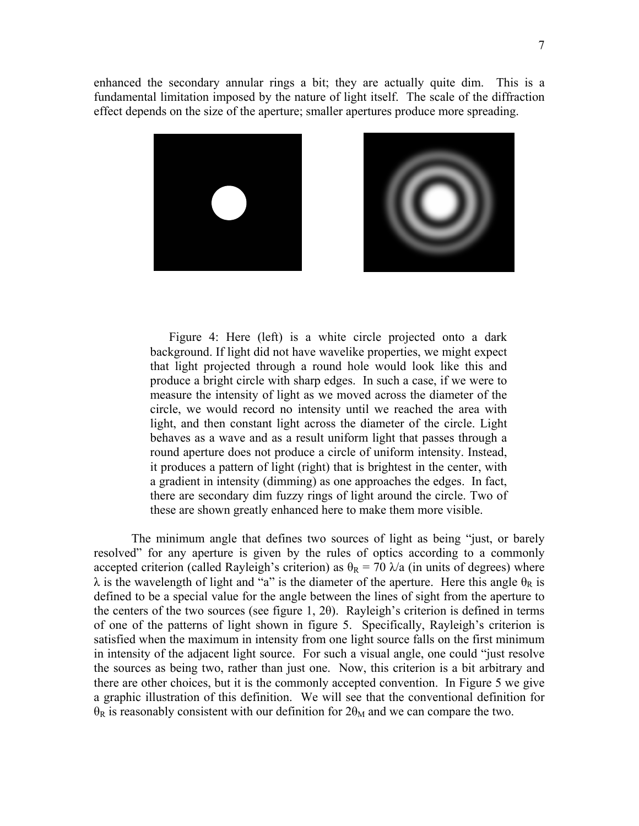enhanced the secondary annular rings a bit; they are actually quite dim. This is a fundamental limitation imposed by the nature of light itself. The scale of the diffraction effect depends on the size of the aperture; smaller apertures produce more spreading.





 Figure 4: Here (left) is a white circle projected onto a dark background. If light did not have wavelike properties, we might expect that light projected through a round hole would look like this and produce a bright circle with sharp edges. In such a case, if we were to measure the intensity of light as we moved across the diameter of the circle, we would record no intensity until we reached the area with light, and then constant light across the diameter of the circle. Light behaves as a wave and as a result uniform light that passes through a round aperture does not produce a circle of uniform intensity. Instead, it produces a pattern of light (right) that is brightest in the center, with a gradient in intensity (dimming) as one approaches the edges. In fact, there are secondary dim fuzzy rings of light around the circle. Two of these are shown greatly enhanced here to make them more visible.

 The minimum angle that defines two sources of light as being "just, or barely resolved" for any aperture is given by the rules of optics according to a commonly accepted criterion (called Rayleigh's criterion) as  $\theta_R = 70 \lambda/a$  (in units of degrees) where  $\lambda$  is the wavelength of light and "a" is the diameter of the aperture. Here this angle  $\theta_R$  is defined to be a special value for the angle between the lines of sight from the aperture to the centers of the two sources (see figure 1, 2θ). Rayleigh's criterion is defined in terms of one of the patterns of light shown in figure 5. Specifically, Rayleigh's criterion is satisfied when the maximum in intensity from one light source falls on the first minimum in intensity of the adjacent light source. For such a visual angle, one could "just resolve the sources as being two, rather than just one. Now, this criterion is a bit arbitrary and there are other choices, but it is the commonly accepted convention. In Figure 5 we give a graphic illustration of this definition. We will see that the conventional definition for  $\theta_R$  is reasonably consistent with our definition for  $2\theta_M$  and we can compare the two.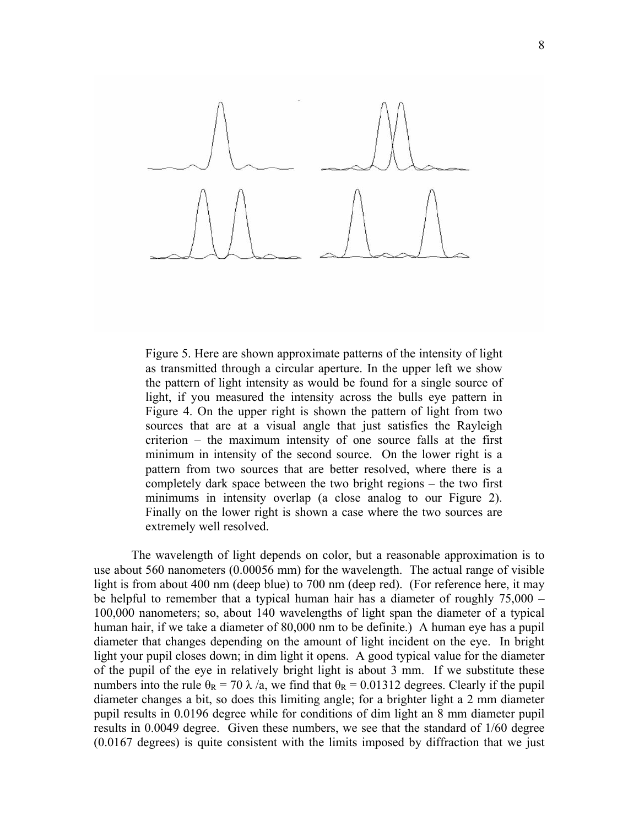

Figure 5. Here are shown approximate patterns of the intensity of light as transmitted through a circular aperture. In the upper left we show the pattern of light intensity as would be found for a single source of light, if you measured the intensity across the bulls eye pattern in Figure 4. On the upper right is shown the pattern of light from two sources that are at a visual angle that just satisfies the Rayleigh criterion – the maximum intensity of one source falls at the first minimum in intensity of the second source. On the lower right is a pattern from two sources that are better resolved, where there is a completely dark space between the two bright regions – the two first minimums in intensity overlap (a close analog to our Figure 2). Finally on the lower right is shown a case where the two sources are extremely well resolved.

 The wavelength of light depends on color, but a reasonable approximation is to use about 560 nanometers (0.00056 mm) for the wavelength. The actual range of visible light is from about 400 nm (deep blue) to 700 nm (deep red). (For reference here, it may be helpful to remember that a typical human hair has a diameter of roughly 75,000 – 100,000 nanometers; so, about 140 wavelengths of light span the diameter of a typical human hair, if we take a diameter of 80,000 nm to be definite.) A human eye has a pupil diameter that changes depending on the amount of light incident on the eye. In bright light your pupil closes down; in dim light it opens. A good typical value for the diameter of the pupil of the eye in relatively bright light is about 3 mm. If we substitute these numbers into the rule  $\theta_R = 70 \lambda/a$ , we find that  $\theta_R = 0.01312$  degrees. Clearly if the pupil diameter changes a bit, so does this limiting angle; for a brighter light a 2 mm diameter pupil results in 0.0196 degree while for conditions of dim light an 8 mm diameter pupil results in 0.0049 degree. Given these numbers, we see that the standard of 1/60 degree (0.0167 degrees) is quite consistent with the limits imposed by diffraction that we just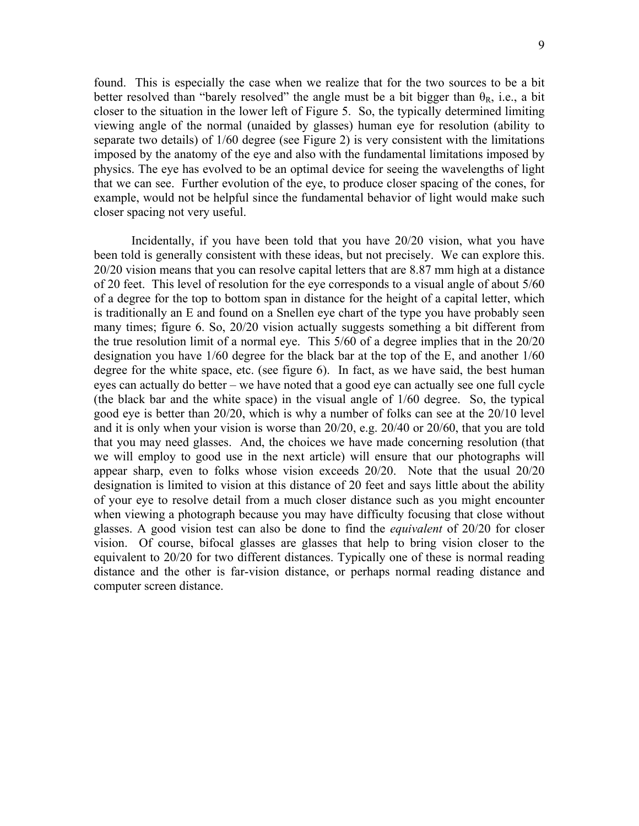found. This is especially the case when we realize that for the two sources to be a bit better resolved than "barely resolved" the angle must be a bit bigger than  $\theta_R$ , i.e., a bit closer to the situation in the lower left of Figure 5. So, the typically determined limiting viewing angle of the normal (unaided by glasses) human eye for resolution (ability to separate two details) of 1/60 degree (see Figure 2) is very consistent with the limitations imposed by the anatomy of the eye and also with the fundamental limitations imposed by physics. The eye has evolved to be an optimal device for seeing the wavelengths of light that we can see. Further evolution of the eye, to produce closer spacing of the cones, for example, would not be helpful since the fundamental behavior of light would make such closer spacing not very useful.

 Incidentally, if you have been told that you have 20/20 vision, what you have been told is generally consistent with these ideas, but not precisely. We can explore this. 20/20 vision means that you can resolve capital letters that are 8.87 mm high at a distance of 20 feet. This level of resolution for the eye corresponds to a visual angle of about 5/60 of a degree for the top to bottom span in distance for the height of a capital letter, which is traditionally an E and found on a Snellen eye chart of the type you have probably seen many times; figure 6. So, 20/20 vision actually suggests something a bit different from the true resolution limit of a normal eye. This 5/60 of a degree implies that in the 20/20 designation you have 1/60 degree for the black bar at the top of the E, and another 1/60 degree for the white space, etc. (see figure 6). In fact, as we have said, the best human eyes can actually do better – we have noted that a good eye can actually see one full cycle (the black bar and the white space) in the visual angle of 1/60 degree. So, the typical good eye is better than 20/20, which is why a number of folks can see at the 20/10 level and it is only when your vision is worse than 20/20, e.g. 20/40 or 20/60, that you are told that you may need glasses. And, the choices we have made concerning resolution (that we will employ to good use in the next article) will ensure that our photographs will appear sharp, even to folks whose vision exceeds 20/20. Note that the usual 20/20 designation is limited to vision at this distance of 20 feet and says little about the ability of your eye to resolve detail from a much closer distance such as you might encounter when viewing a photograph because you may have difficulty focusing that close without glasses. A good vision test can also be done to find the *equivalent* of 20/20 for closer vision. Of course, bifocal glasses are glasses that help to bring vision closer to the equivalent to 20/20 for two different distances. Typically one of these is normal reading distance and the other is far-vision distance, or perhaps normal reading distance and computer screen distance.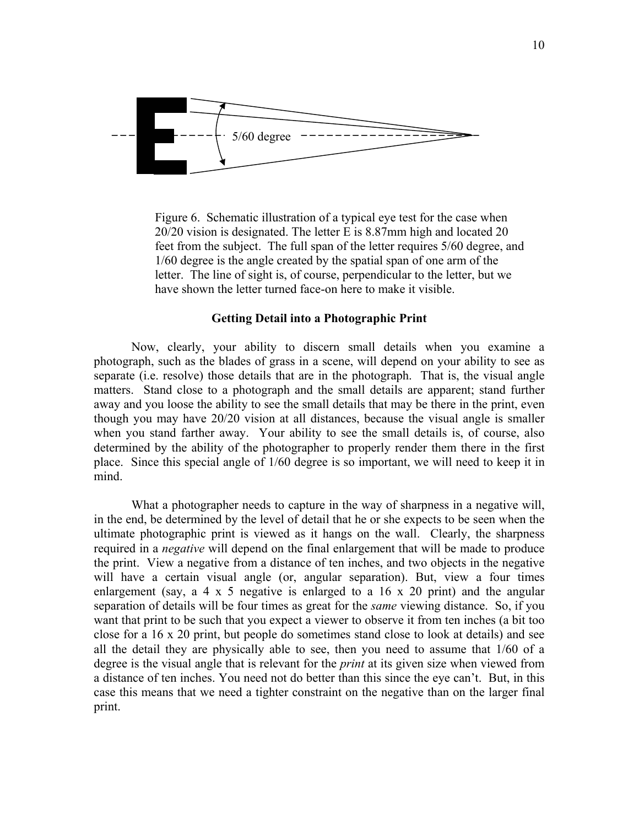

Figure 6. Schematic illustration of a typical eye test for the case when 20/20 vision is designated. The letter E is 8.87mm high and located 20 feet from the subject. The full span of the letter requires 5/60 degree, and 1/60 degree is the angle created by the spatial span of one arm of the letter. The line of sight is, of course, perpendicular to the letter, but we have shown the letter turned face-on here to make it visible.

## **Getting Detail into a Photographic Print**

 Now, clearly, your ability to discern small details when you examine a photograph, such as the blades of grass in a scene, will depend on your ability to see as separate (i.e. resolve) those details that are in the photograph. That is, the visual angle matters. Stand close to a photograph and the small details are apparent; stand further away and you loose the ability to see the small details that may be there in the print, even though you may have 20/20 vision at all distances, because the visual angle is smaller when you stand farther away. Your ability to see the small details is, of course, also determined by the ability of the photographer to properly render them there in the first place. Since this special angle of 1/60 degree is so important, we will need to keep it in mind.

What a photographer needs to capture in the way of sharpness in a negative will, in the end, be determined by the level of detail that he or she expects to be seen when the ultimate photographic print is viewed as it hangs on the wall. Clearly, the sharpness required in a *negative* will depend on the final enlargement that will be made to produce the print. View a negative from a distance of ten inches, and two objects in the negative will have a certain visual angle (or, angular separation). But, view a four times enlargement (say, a 4  $\times$  5 negative is enlarged to a 16  $\times$  20 print) and the angular separation of details will be four times as great for the *same* viewing distance. So, if you want that print to be such that you expect a viewer to observe it from ten inches (a bit too close for a 16 x 20 print, but people do sometimes stand close to look at details) and see all the detail they are physically able to see, then you need to assume that 1/60 of a degree is the visual angle that is relevant for the *print* at its given size when viewed from a distance of ten inches. You need not do better than this since the eye can't. But, in this case this means that we need a tighter constraint on the negative than on the larger final print.